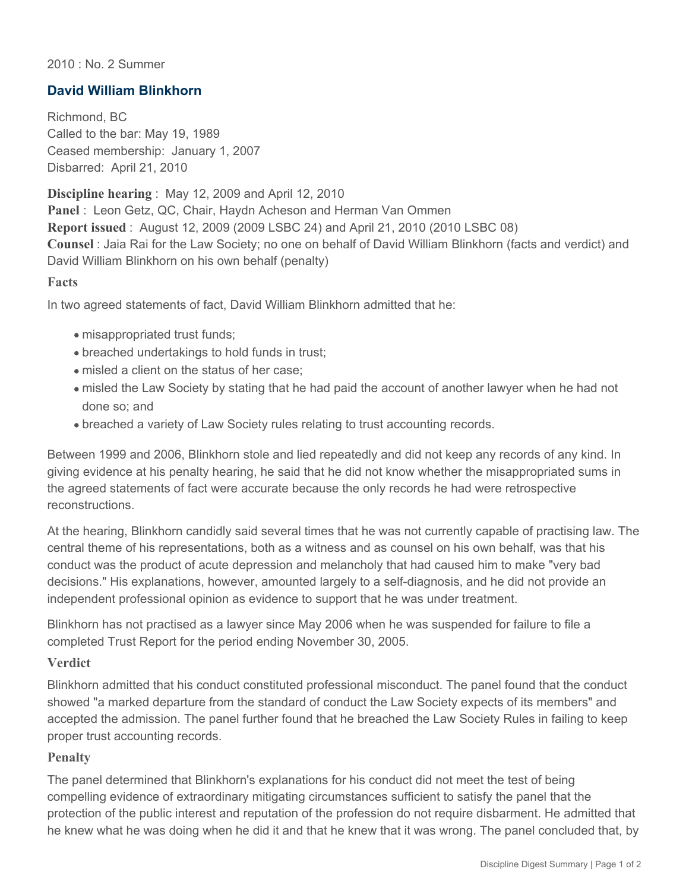### 2010 : No. 2 Summer

# **David William Blinkhorn**

Richmond, BC Called to the bar: May 19, 1989 Ceased membership: January 1, 2007 Disbarred: April 21, 2010

**Discipline hearing** : May 12, 2009 and April 12, 2010 **Panel** : Leon Getz, QC, Chair, Haydn Acheson and Herman Van Ommen **Report issued** : August 12, 2009 (2009 LSBC 24) and April 21, 2010 (2010 LSBC 08) **Counsel** : Jaia Rai for the Law Society; no one on behalf of David William Blinkhorn (facts and verdict) and David William Blinkhorn on his own behalf (penalty)

#### **Facts**

In two agreed statements of fact, David William Blinkhorn admitted that he:

- misappropriated trust funds;
- breached undertakings to hold funds in trust;
- misled a client on the status of her case;
- misled the Law Society by stating that he had paid the account of another lawyer when he had not done so; and
- breached a variety of Law Society rules relating to trust accounting records.

Between 1999 and 2006, Blinkhorn stole and lied repeatedly and did not keep any records of any kind. In giving evidence at his penalty hearing, he said that he did not know whether the misappropriated sums in the agreed statements of fact were accurate because the only records he had were retrospective reconstructions.

At the hearing, Blinkhorn candidly said several times that he was not currently capable of practising law. The central theme of his representations, both as a witness and as counsel on his own behalf, was that his conduct was the product of acute depression and melancholy that had caused him to make "very bad decisions." His explanations, however, amounted largely to a self-diagnosis, and he did not provide an independent professional opinion as evidence to support that he was under treatment.

Blinkhorn has not practised as a lawyer since May 2006 when he was suspended for failure to file a completed Trust Report for the period ending November 30, 2005.

#### **Verdict**

Blinkhorn admitted that his conduct constituted professional misconduct. The panel found that the conduct showed "a marked departure from the standard of conduct the Law Society expects of its members" and accepted the admission. The panel further found that he breached the Law Society Rules in failing to keep proper trust accounting records.

## **Penalty**

The panel determined that Blinkhorn's explanations for his conduct did not meet the test of being compelling evidence of extraordinary mitigating circumstances sufficient to satisfy the panel that the protection of the public interest and reputation of the profession do not require disbarment. He admitted that he knew what he was doing when he did it and that he knew that it was wrong. The panel concluded that, by